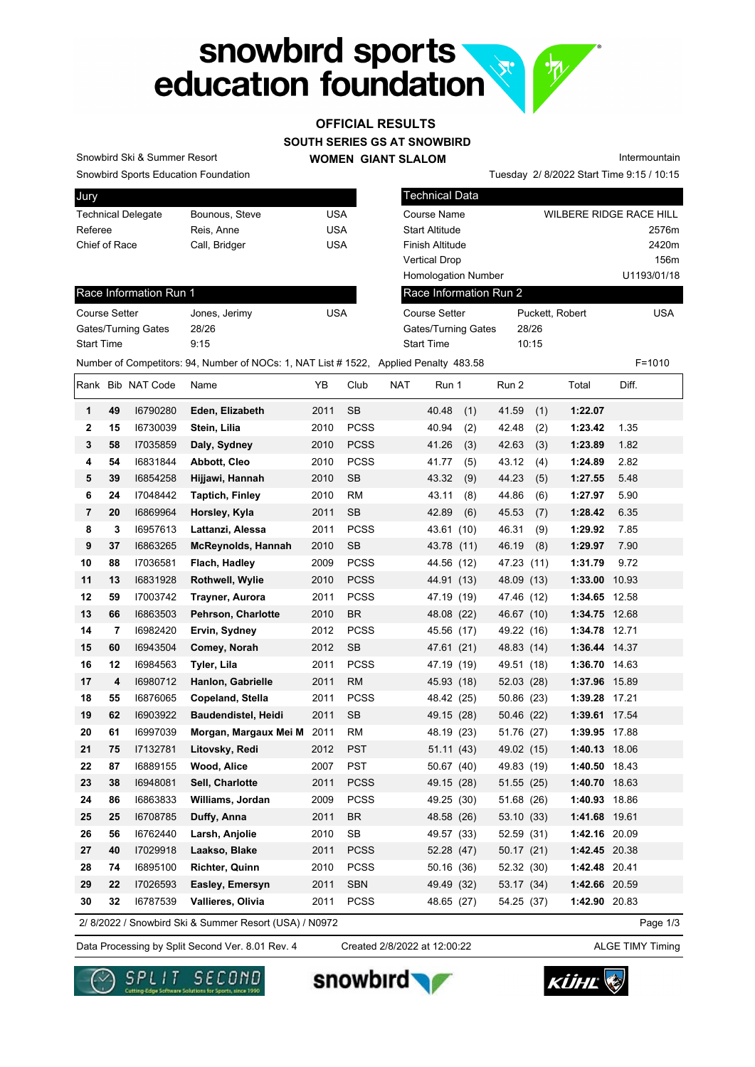## snowbird sports education foundation

## **SOUTH SERIES GS AT SNOWBIRD OFFICIAL RESULTS**

**WOMEN GIANT SLALOM**

Snowbird Sports Education Foundation Snowbird Ski & Summer Resort

**Jury** 

| <b>UMY</b>                |                |     |
|---------------------------|----------------|-----|
| <b>Technical Delegate</b> | Bounous, Steve | USA |
| Referee                   | Reis, Anne     | USA |
| Chief of Race             | Call, Bridger  | USA |
|                           |                |     |

Technical Data Course Name WILBERE RIDGE RACE HILL Start Altitude 2576m Finish Altitude 2420m Vertical Drop 156m Homologation Number U1193/01/18 Puckett, Robert USA Gates/Turning Gates 28/26 Race Information Run 2 Course Setter

Tuesday 2/ 8/2022 Start Time 9:15 / 10:15

Intermountain

Race Information Run 1

| <b>Course Setter</b>       | Jones, Jerimy | <b>USA</b> |
|----------------------------|---------------|------------|
| <b>Gates/Turning Gates</b> | 28/26         |            |
| <b>Start Time</b>          | 9:15          |            |

| Start Time     |    |              | 9:15                                                                                  |      |             |            | Start Time |     |            | 10:15 |               |       |            |
|----------------|----|--------------|---------------------------------------------------------------------------------------|------|-------------|------------|------------|-----|------------|-------|---------------|-------|------------|
|                |    |              | Number of Competitors: 94, Number of NOCs: 1, NAT List # 1522, Applied Penalty 483.58 |      |             |            |            |     |            |       |               |       | $F = 1010$ |
| Rank           |    | Bib NAT Code | Name                                                                                  | YB   | Club        | <b>NAT</b> | Run 1      |     | Run 2      |       | Total         | Diff. |            |
| 1              | 49 | 16790280     | Eden, Elizabeth                                                                       | 2011 | <b>SB</b>   |            | 40.48      | (1) | 41.59      | (1)   | 1:22.07       |       |            |
| $\mathbf{2}$   | 15 | 16730039     | Stein, Lilia                                                                          | 2010 | <b>PCSS</b> |            | 40.94      | (2) | 42.48      | (2)   | 1:23.42       | 1.35  |            |
| 3              | 58 | 17035859     | Daly, Sydney                                                                          | 2010 | <b>PCSS</b> |            | 41.26      | (3) | 42.63      | (3)   | 1:23.89       | 1.82  |            |
| 4              | 54 | 16831844     | Abbott, Cleo                                                                          | 2010 | <b>PCSS</b> |            | 41.77      | (5) | 43.12      | (4)   | 1:24.89       | 2.82  |            |
| 5              | 39 | 16854258     | Hijjawi, Hannah                                                                       | 2010 | <b>SB</b>   |            | 43.32      | (9) | 44.23      | (5)   | 1:27.55       | 5.48  |            |
| 6              | 24 | 17048442     | Taptich, Finley                                                                       | 2010 | <b>RM</b>   |            | 43.11      | (8) | 44.86      | (6)   | 1:27.97       | 5.90  |            |
| $\overline{7}$ | 20 | 16869964     | Horsley, Kyla                                                                         | 2011 | <b>SB</b>   |            | 42.89      | (6) | 45.53      | (7)   | 1:28.42       | 6.35  |            |
| 8              | 3  | 16957613     | Lattanzi, Alessa                                                                      | 2011 | <b>PCSS</b> |            | 43.61 (10) |     | 46.31      | (9)   | 1:29.92       | 7.85  |            |
| 9              | 37 | 16863265     | <b>McReynolds, Hannah</b>                                                             | 2010 | <b>SB</b>   |            | 43.78 (11) |     | 46.19      | (8)   | 1:29.97       | 7.90  |            |
| 10             | 88 | 17036581     | Flach, Hadley                                                                         | 2009 | <b>PCSS</b> |            | 44.56 (12) |     | 47.23      | (11)  | 1:31.79       | 9.72  |            |
| 11             | 13 | 16831928     | <b>Rothwell, Wylie</b>                                                                | 2010 | <b>PCSS</b> |            | 44.91 (13) |     | 48.09 (13) |       | 1:33.00 10.93 |       |            |
| 12             | 59 | 17003742     | Trayner, Aurora                                                                       | 2011 | <b>PCSS</b> |            | 47.19 (19) |     | 47.46 (12) |       | 1:34.65       | 12.58 |            |
| 13             | 66 | 16863503     | Pehrson, Charlotte                                                                    | 2010 | <b>BR</b>   |            | 48.08 (22) |     | 46.67 (10) |       | 1:34.75 12.68 |       |            |
| 14             | 7  | 16982420     | Ervin, Sydney                                                                         | 2012 | <b>PCSS</b> |            | 45.56 (17) |     | 49.22 (16) |       | 1:34.78 12.71 |       |            |

**15 60** I6943504 **Comey, Norah** 2012 SB 47.61 (21) 48.83 (14) **1:36.44** 14.37 **16 12** I6984563 **Tyler, Lila** 2011 PCSS 47.19 (19) 49.51 (18) **1:36.70** 14.63 **17 4** I6980712 **Hanlon, Gabrielle** 2011 RM 45.93 (18) 52.03 (28) **1:37.96** 15.89 **18 55** I6876065 **Copeland, Stella** 2011 PCSS 48.42 (25) 50.86 (23) **1:39.28** 17.21 **19 62** I6903922 **Baudendistel, Heidi** 2011 SB 49.15 (28) 50.46 (22) **1:39.61** 17.54 **20 61** I6997039 **Morgan, Margaux Mei Mei**2011 RM 48.19 (23) 51.76 (27) **1:39.95** 17.88 **21 75** I7132781 **Litovsky, Redi** 2012 PST 51.11 (43) 49.02 (15) **1:40.13** 18.06 **22 87** I6889155 **Wood, Alice** 2007 PST 50.67 (40) 49.83 (19) **1:40.50** 18.43 **23 38** I6948081 **Sell, Charlotte** 2011 PCSS 49.15 (28) 51.55 (25) **1:40.70** 18.63 **24 86** I6863833 **Williams, Jordan** 2009 PCSS 49.25 (30) 51.68 (26) **1:40.93** 18.86 **25 25** I6708785 **Duffy, Anna** 2011 BR 48.58 (26) 53.10 (33) **1:41.68** 19.61 **26 56** I6762440 **Larsh, Anjolie** 2010 SB 49.57 (33) 52.59 (31) **1:42.16** 20.09 **27 40** I7029918 **Laakso, Blake** 2011 PCSS 52.28 (47) 50.17 (21) **1:42.45** 20.38 **28 74** I6895100 **Richter, Quinn** 2010 PCSS 50.16 (36) 52.32 (30) **1:42.48** 20.41 **29 22** I7026593 **Easley, Emersyn** 2011 SBN 49.49 (32) 53.17 (34) **1:42.66** 20.59 **30 32** I6787539 **Vallieres, Olivia** 2011 PCSS 48.65 (27) 54.25 (37) **1:42.90** 20.83

2/ 8/2022 / Snowbird Ski & Summer Resort (USA) / N0972

Created 2/8/2022 at 12:00:22

Page 1/3

Data Processing by Split Second Ver. 8.01 Rev. 4 Created 2/8/2022 at 12:00:22 ALGE TIMY Timing







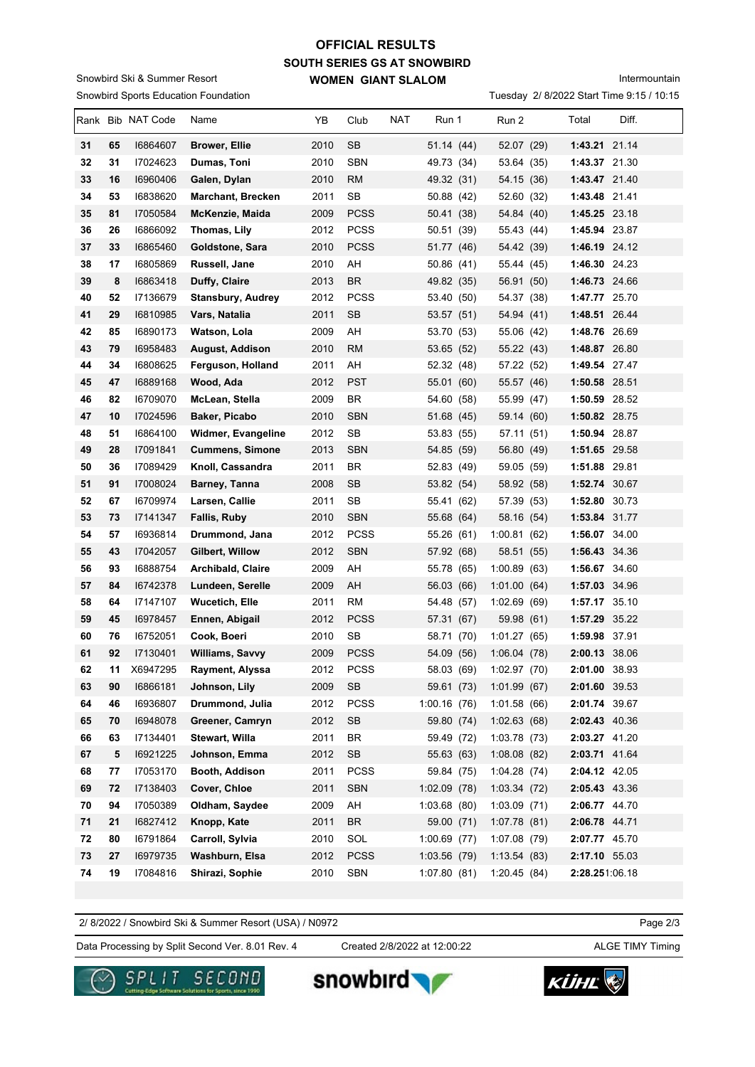## **SOUTH SERIES GS AT SNOWBIRD WOMEN GIANT SLALOM OFFICIAL RESULTS**

Snowbird Sports Education Foundation Snowbird Ski & Summer Resort

Intermountain

Tuesday 2/ 8/2022 Start Time 9:15 / 10:15

|    |    | Rank Bib NAT Code | Name                     | YB   | Club        | <b>NAT</b> | Run 1          | Run 2        | Total          | Diff. |
|----|----|-------------------|--------------------------|------|-------------|------------|----------------|--------------|----------------|-------|
| 31 | 65 | 16864607          | <b>Brower, Ellie</b>     | 2010 | <b>SB</b>   |            | 51.14 (44)     | 52.07 (29)   | 1:43.21 21.14  |       |
| 32 | 31 | 17024623          | Dumas, Toni              | 2010 | <b>SBN</b>  |            | 49.73 (34)     | 53.64 (35)   | 1:43.37 21.30  |       |
| 33 | 16 | 16960406          | Galen, Dylan             | 2010 | <b>RM</b>   |            | 49.32 (31)     | 54.15 (36)   | 1:43.47 21.40  |       |
| 34 | 53 | 16838620          | <b>Marchant, Brecken</b> | 2011 | <b>SB</b>   |            | 50.88 (42)     | 52.60 (32)   | 1:43.48 21.41  |       |
| 35 | 81 | 17050584          | McKenzie, Maida          | 2009 | <b>PCSS</b> |            | 50.41 (38)     | 54.84 (40)   | 1:45.25 23.18  |       |
| 36 | 26 | 16866092          | Thomas, Lily             | 2012 | <b>PCSS</b> |            | 50.51 (39)     | 55.43 (44)   | 1:45.94 23.87  |       |
| 37 | 33 | 16865460          | Goldstone, Sara          | 2010 | <b>PCSS</b> |            | 51.77 (46)     | 54.42 (39)   | 1:46.19 24.12  |       |
| 38 | 17 | 16805869          | Russell, Jane            | 2010 | AH          |            | 50.86 (41)     | 55.44 (45)   | 1:46.30 24.23  |       |
| 39 | 8  | 16863418          | Duffy, Claire            | 2013 | <b>BR</b>   |            | 49.82 (35)     | 56.91 (50)   | 1:46.73 24.66  |       |
| 40 | 52 | 17136679          | <b>Stansbury, Audrey</b> | 2012 | <b>PCSS</b> |            | 53.40 (50)     | 54.37 (38)   | 1:47.77 25.70  |       |
| 41 | 29 | 16810985          | Vars, Natalia            | 2011 | <b>SB</b>   |            | 53.57 (51)     | 54.94 (41)   | 1:48.51 26.44  |       |
| 42 | 85 | 16890173          | Watson, Lola             | 2009 | AH          |            | 53.70 (53)     | 55.06 (42)   | 1:48.76 26.69  |       |
| 43 | 79 | 16958483          | August, Addison          | 2010 | <b>RM</b>   |            | 53.65 (52)     | 55.22 (43)   | 1:48.87 26.80  |       |
| 44 | 34 | 16808625          | Ferguson, Holland        | 2011 | AH          |            | 52.32 (48)     | 57.22 (52)   | 1:49.54 27.47  |       |
| 45 | 47 | 16889168          | Wood, Ada                | 2012 | <b>PST</b>  |            | 55.01 (60)     | 55.57 (46)   | 1:50.58 28.51  |       |
| 46 | 82 | 16709070          | McLean, Stella           | 2009 | BR          |            | 54.60 (58)     | 55.99 (47)   | 1:50.59 28.52  |       |
| 47 | 10 | 17024596          | Baker, Picabo            | 2010 | <b>SBN</b>  |            | 51.68 (45)     | 59.14 (60)   | 1:50.82 28.75  |       |
| 48 | 51 | 16864100          | Widmer, Evangeline       | 2012 | SB          |            | 53.83 (55)     | 57.11(51)    | 1:50.94 28.87  |       |
| 49 | 28 | 17091841          | <b>Cummens, Simone</b>   | 2013 | <b>SBN</b>  |            | 54.85 (59)     | 56.80 (49)   | 1:51.65 29.58  |       |
| 50 | 36 | 17089429          | Knoll, Cassandra         | 2011 | BR          |            | 52.83 (49)     | 59.05 (59)   | 1:51.88 29.81  |       |
| 51 | 91 | 17008024          | Barney, Tanna            | 2008 | <b>SB</b>   |            | 53.82 (54)     | 58.92 (58)   | 1:52.74 30.67  |       |
| 52 | 67 | 16709974          | Larsen, Callie           | 2011 | <b>SB</b>   |            | 55.41 (62)     | 57.39 (53)   | 1:52.80 30.73  |       |
| 53 | 73 | 17141347          | Fallis, Ruby             | 2010 | <b>SBN</b>  |            | 55.68 (64)     | 58.16 (54)   | 1:53.84 31.77  |       |
| 54 | 57 | 16936814          | Drummond, Jana           | 2012 | <b>PCSS</b> |            | 55.26 (61)     | 1:00.81(62)  | 1:56.07 34.00  |       |
| 55 | 43 | 17042057          | Gilbert, Willow          | 2012 | <b>SBN</b>  |            | 57.92 (68)     | 58.51 (55)   | 1:56.43 34.36  |       |
| 56 | 93 | 16888754          | Archibald, Claire        | 2009 | AH          |            | 55.78 (65)     | 1:00.89(63)  | 1:56.67 34.60  |       |
| 57 | 84 | 16742378          | Lundeen, Serelle         | 2009 | AH          |            | 56.03 (66)     | 1:01.00(64)  | 1:57.03 34.96  |       |
| 58 | 64 | 17147107          | <b>Wucetich, Elle</b>    | 2011 | RM          |            | 54.48 (57)     | 1:02.69(69)  | 1:57.17 35.10  |       |
| 59 | 45 | 16978457          | Ennen, Abigail           | 2012 | <b>PCSS</b> |            | 57.31 (67)     | 59.98 (61)   | 1:57.29 35.22  |       |
| 60 | 76 | 16752051          | Cook, Boeri              | 2010 | SB          |            | 58.71 (70)     | 1:01.27(65)  | 1:59.98 37.91  |       |
| 61 | 92 | 17130401          | <b>Williams, Savvy</b>   | 2009 | <b>PCSS</b> |            | 54.09 (56)     | 1:06.04(78)  | 2:00.13 38.06  |       |
| 62 | 11 | X6947295          | Rayment, Alyssa          | 2012 | PCSS        |            | 58.03 (69)     | 1:02.97(70)  | 2:01.00 38.93  |       |
| 63 | 90 | 16866181          | Johnson, Lily            | 2009 | SB          |            | 59.61 (73)     | 1:01.99(67)  | 2:01.60 39.53  |       |
| 64 | 46 | 16936807          | Drummond, Julia          | 2012 | PCSS        |            | 1:00.16(76)    | 1:01.58(66)  | 2:01.74 39.67  |       |
| 65 | 70 | 16948078          | Greener, Camryn          | 2012 | SB          |            | 59.80 (74)     | 1:02.63(68)  | 2:02.43 40.36  |       |
| 66 | 63 | 17134401          | Stewart, Willa           | 2011 | <b>BR</b>   |            | 59.49 (72)     | 1:03.78(73)  | 2:03.27 41.20  |       |
| 67 | 5  | 16921225          | Johnson, Emma            | 2012 | SB          |            | 55.63 (63)     | 1:08.08(82)  | 2:03.71 41.64  |       |
| 68 | 77 | 17053170          | Booth, Addison           | 2011 | <b>PCSS</b> |            | 59.84 (75)     | 1:04.28(74)  | 2:04.12 42.05  |       |
| 69 | 72 | 17138403          | Cover, Chloe             | 2011 | <b>SBN</b>  |            | 1:02.09(78)    | 1:03.34(72)  | 2:05.43 43.36  |       |
| 70 | 94 | 17050389          | Oldham, Saydee           | 2009 | AH          |            | 1:03.68(80)    | 1:03.09(71)  | 2:06.77 44.70  |       |
| 71 | 21 | 16827412          | Knopp, Kate              | 2011 | <b>BR</b>   |            | 59.00 (71)     | 1:07.78(81)  | 2:06.78 44.71  |       |
| 72 | 80 | 16791864          | Carroll, Sylvia          | 2010 | SOL         |            | $1:00.69$ (77) | 1:07.08 (79) | 2:07.77 45.70  |       |
| 73 | 27 | 16979735          | Washburn, Elsa           | 2012 | <b>PCSS</b> |            | 1:03.56 (79)   | 1:13.54(83)  | 2:17.10 55.03  |       |
| 74 | 19 | 17084816          | Shirazi, Sophie          | 2010 | SBN         |            | 1:07.80(81)    | 1:20.45(84)  | 2:28.251:06.18 |       |

2/ 8/2022 / Snowbird Ski & Summer Resort (USA) / N0972

Data Processing by Split Second Ver. 8.01 Rev. 4 Created 2/8/2022 at 12:00:22 ALGE TIMY Timing Created 2/8/2022 at 12:00:22

snowbird

Page 2/3